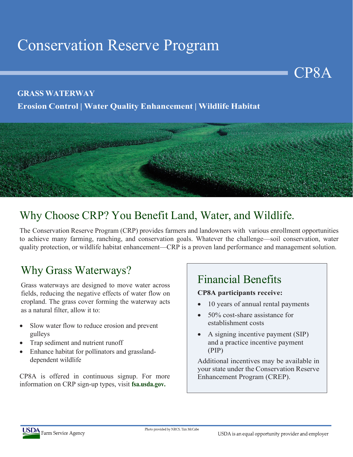# Conservation Reserve Program

#### **GRASS WATERWAY**

### **Erosion Control | Water Quality Enhancement | Wildlife Habitat**



## Why Choose CRP? You Benefit Land, Water, and Wildlife.

The Conservation Reserve Program (CRP) provides farmers and landowners with various enrollment opportunities to achieve many farming, ranching, and conservation goals. Whatever the challenge—soil conservation, water quality protection, or wildlife habitat enhancement—CRP is a proven land performance and management solution.

## Why Grass Waterways?

Grass waterways are designed to move water across fields, reducing the negative effects of water flow on cropland. The grass cover forming the waterway acts as a natural filter, allow it to:

- Slow water flow to reduce erosion and prevent gulleys
- Trap sediment and nutrient runoff
- Enhance habitat for pollinators and grasslanddependent wildlife

CP8A is offered in continuous signup. For more information on CRP sign-up types, visit **fsa.usda.gov.**

## Financial Benefits

#### **CP8A participants receive:**

10 years of annual rental payments

CP8A

- 50% cost-share assistance for establishment costs
- A signing incentive payment (SIP) and a practice incentive payment (PIP)

Additional incentives may be available in your state under the Conservation Reserve Enhancement Program (CREP).